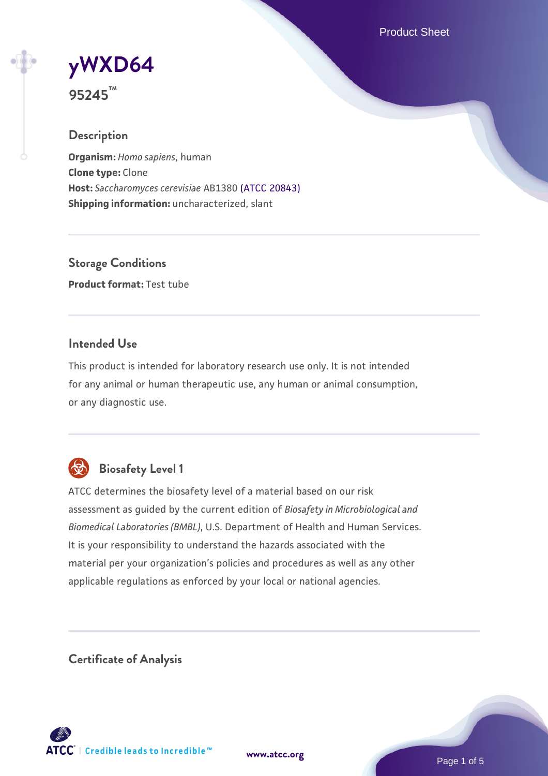Product Sheet

# **[yWXD64](https://www.atcc.org/products/95245)**

**95245™**

# **Description**

**Organism:** *Homo sapiens*, human **Clone type:** Clone **Host:** *Saccharomyces cerevisiae* AB1380 [\(ATCC 20843\)](https://www.atcc.org/products/20843) **Shipping information:** uncharacterized, slant

**Storage Conditions Product format:** Test tube

### **Intended Use**

This product is intended for laboratory research use only. It is not intended for any animal or human therapeutic use, any human or animal consumption, or any diagnostic use.



# **Biosafety Level 1**

ATCC determines the biosafety level of a material based on our risk assessment as guided by the current edition of *Biosafety in Microbiological and Biomedical Laboratories (BMBL)*, U.S. Department of Health and Human Services. It is your responsibility to understand the hazards associated with the material per your organization's policies and procedures as well as any other applicable regulations as enforced by your local or national agencies.

**Certificate of Analysis**

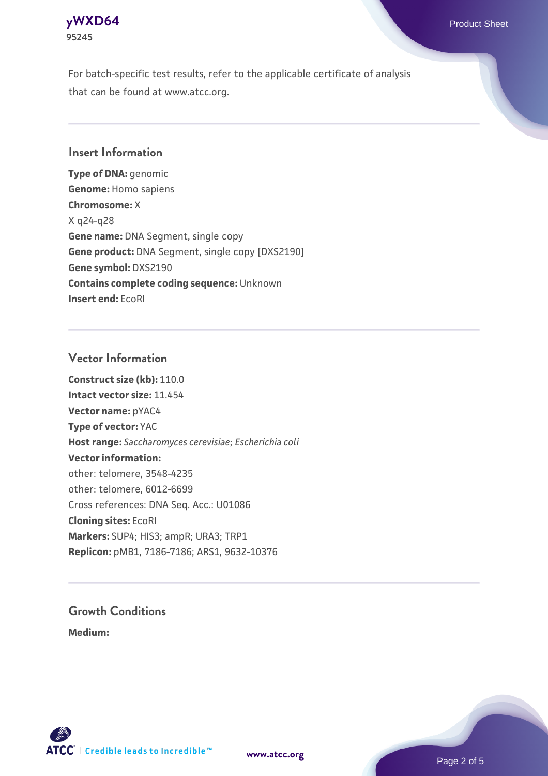

For batch-specific test results, refer to the applicable certificate of analysis that can be found at www.atcc.org.

#### **Insert Information**

**Type of DNA:** genomic **Genome:** Homo sapiens **Chromosome:** X X q24-q28 **Gene name:** DNA Segment, single copy **Gene product:** DNA Segment, single copy [DXS2190] **Gene symbol:** DXS2190 **Contains complete coding sequence:** Unknown **Insert end:** EcoRI

#### **Vector Information**

**Construct size (kb):** 110.0 **Intact vector size:** 11.454 **Vector name:** pYAC4 **Type of vector:** YAC **Host range:** *Saccharomyces cerevisiae*; *Escherichia coli* **Vector information:** other: telomere, 3548-4235 other: telomere, 6012-6699 Cross references: DNA Seq. Acc.: U01086 **Cloning sites:** EcoRI **Markers:** SUP4; HIS3; ampR; URA3; TRP1 **Replicon:** pMB1, 7186-7186; ARS1, 9632-10376

# **Growth Conditions**

**Medium:** 





Page 2 of 5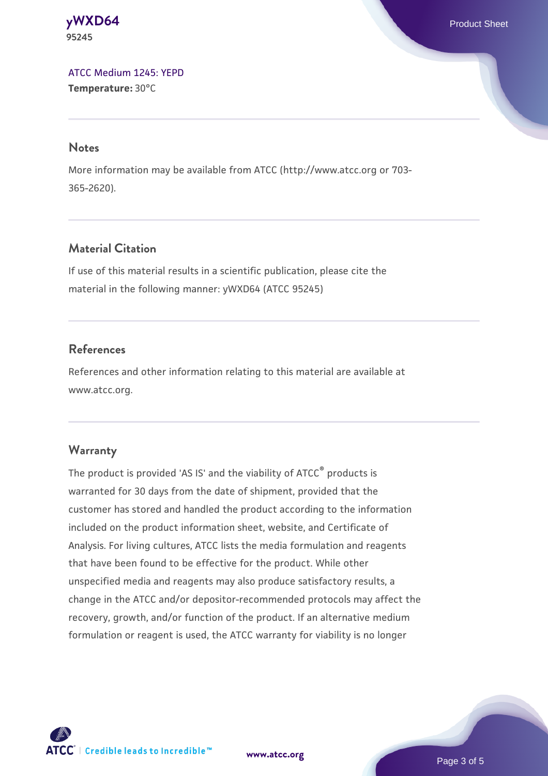**[yWXD64](https://www.atcc.org/products/95245)** Product Sheet **95245**

[ATCC Medium 1245: YEPD](https://www.atcc.org/-/media/product-assets/documents/microbial-media-formulations/1/2/4/5/atcc-medium-1245.pdf?rev=705ca55d1b6f490a808a965d5c072196) **Temperature:** 30°C

#### **Notes**

More information may be available from ATCC (http://www.atcc.org or 703- 365-2620).

### **Material Citation**

If use of this material results in a scientific publication, please cite the material in the following manner: yWXD64 (ATCC 95245)

### **References**

References and other information relating to this material are available at www.atcc.org.

#### **Warranty**

The product is provided 'AS IS' and the viability of ATCC® products is warranted for 30 days from the date of shipment, provided that the customer has stored and handled the product according to the information included on the product information sheet, website, and Certificate of Analysis. For living cultures, ATCC lists the media formulation and reagents that have been found to be effective for the product. While other unspecified media and reagents may also produce satisfactory results, a change in the ATCC and/or depositor-recommended protocols may affect the recovery, growth, and/or function of the product. If an alternative medium formulation or reagent is used, the ATCC warranty for viability is no longer



**[www.atcc.org](http://www.atcc.org)**

Page 3 of 5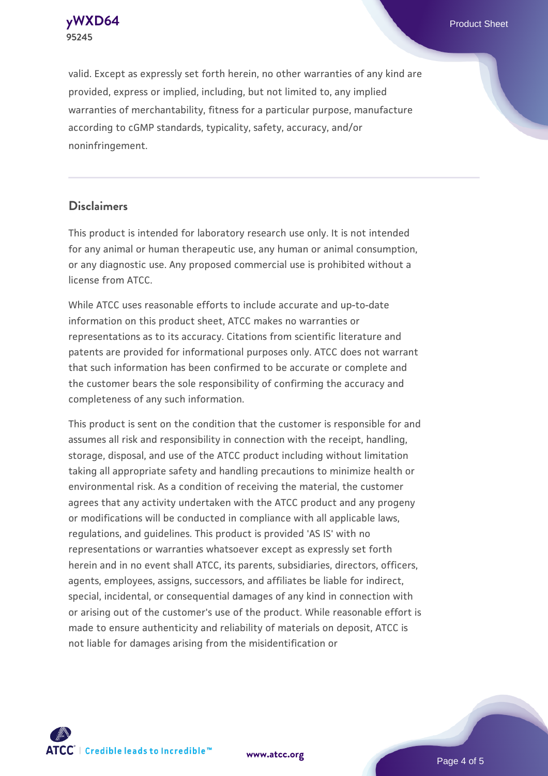**[yWXD64](https://www.atcc.org/products/95245)** Product Sheet **95245**

valid. Except as expressly set forth herein, no other warranties of any kind are provided, express or implied, including, but not limited to, any implied warranties of merchantability, fitness for a particular purpose, manufacture according to cGMP standards, typicality, safety, accuracy, and/or noninfringement.

#### **Disclaimers**

This product is intended for laboratory research use only. It is not intended for any animal or human therapeutic use, any human or animal consumption, or any diagnostic use. Any proposed commercial use is prohibited without a license from ATCC.

While ATCC uses reasonable efforts to include accurate and up-to-date information on this product sheet, ATCC makes no warranties or representations as to its accuracy. Citations from scientific literature and patents are provided for informational purposes only. ATCC does not warrant that such information has been confirmed to be accurate or complete and the customer bears the sole responsibility of confirming the accuracy and completeness of any such information.

This product is sent on the condition that the customer is responsible for and assumes all risk and responsibility in connection with the receipt, handling, storage, disposal, and use of the ATCC product including without limitation taking all appropriate safety and handling precautions to minimize health or environmental risk. As a condition of receiving the material, the customer agrees that any activity undertaken with the ATCC product and any progeny or modifications will be conducted in compliance with all applicable laws, regulations, and guidelines. This product is provided 'AS IS' with no representations or warranties whatsoever except as expressly set forth herein and in no event shall ATCC, its parents, subsidiaries, directors, officers, agents, employees, assigns, successors, and affiliates be liable for indirect, special, incidental, or consequential damages of any kind in connection with or arising out of the customer's use of the product. While reasonable effort is made to ensure authenticity and reliability of materials on deposit, ATCC is not liable for damages arising from the misidentification or



**[www.atcc.org](http://www.atcc.org)**

Page 4 of 5